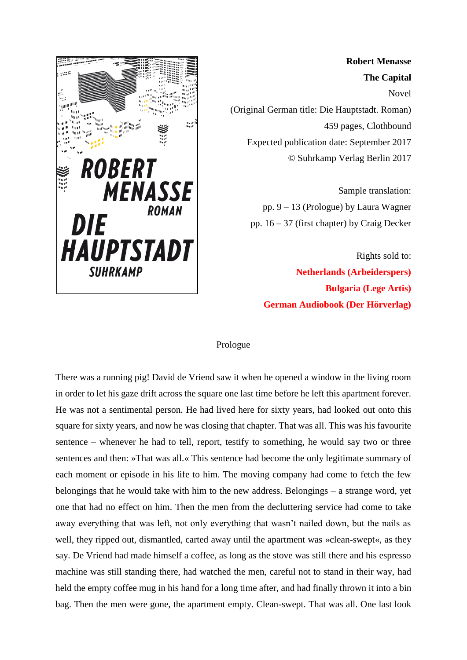

**Robert Menasse The Capital** Novel (Original German title: Die Hauptstadt. Roman) 459 pages, Clothbound Expected publication date: September 2017 © Suhrkamp Verlag Berlin 2017

> Sample translation: pp. 9 – 13 (Prologue) by Laura Wagner pp. 16 – 37 (first chapter) by Craig Decker

Rights sold to: **Netherlands (Arbeiderspers) Bulgaria (Lege Artis) German Audiobook (Der Hörverlag)**

## Prologue

There was a running pig! David de Vriend saw it when he opened a window in the living room in order to let his gaze drift across the square one last time before he left this apartment forever. He was not a sentimental person. He had lived here for sixty years, had looked out onto this square for sixty years, and now he was closing that chapter. That was all. This was his favourite sentence – whenever he had to tell, report, testify to something, he would say two or three sentences and then: »That was all.« This sentence had become the only legitimate summary of each moment or episode in his life to him. The moving company had come to fetch the few belongings that he would take with him to the new address. Belongings – a strange word, yet one that had no effect on him. Then the men from the decluttering service had come to take away everything that was left, not only everything that wasn't nailed down, but the nails as well, they ripped out, dismantled, carted away until the apartment was »clean-swept«, as they say. De Vriend had made himself a coffee, as long as the stove was still there and his espresso machine was still standing there, had watched the men, careful not to stand in their way, had held the empty coffee mug in his hand for a long time after, and had finally thrown it into a bin bag. Then the men were gone, the apartment empty. Clean-swept. That was all. One last look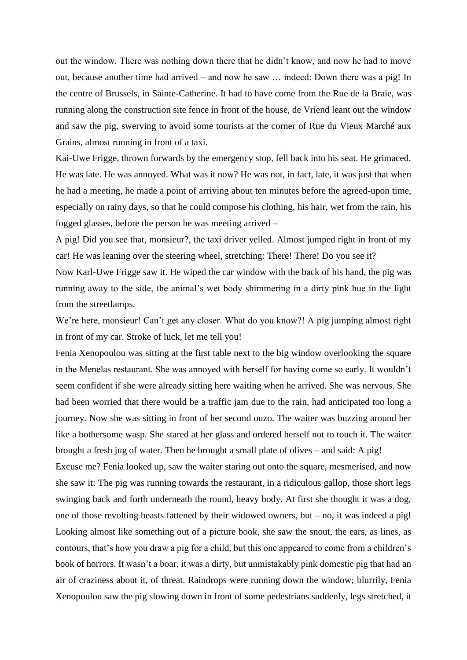out the window. There was nothing down there that he didn't know, and now he had to move out, because another time had arrived – and now he saw … indeed: Down there was a pig! In the centre of Brussels, in Sainte-Catherine. It had to have come from the Rue de la Braie, was running along the construction site fence in front of the house, de Vriend leant out the window and saw the pig, swerving to avoid some tourists at the corner of Rue du Vieux Marché aux Grains, almost running in front of a taxi.

Kai-Uwe Frigge, thrown forwards by the emergency stop, fell back into his seat. He grimaced. He was late. He was annoyed. What was it now? He was not, in fact, late, it was just that when he had a meeting, he made a point of arriving about ten minutes before the agreed-upon time, especially on rainy days, so that he could compose his clothing, his hair, wet from the rain, his fogged glasses, before the person he was meeting arrived –

A pig! Did you see that, monsieur?, the taxi driver yelled. Almost jumped right in front of my car! He was leaning over the steering wheel, stretching: There! There! Do you see it?

Now Karl-Uwe Frigge saw it. He wiped the car window with the back of his hand, the pig was running away to the side, the animal's wet body shimmering in a dirty pink hue in the light from the streetlamps.

We're here, monsieur! Can't get any closer. What do you know?! A pig jumping almost right in front of my car. Stroke of luck, let me tell you!

Fenia Xenopoulou was sitting at the first table next to the big window overlooking the square in the Menelas restaurant. She was annoyed with herself for having come so early. It wouldn't seem confident if she were already sitting here waiting when he arrived. She was nervous. She had been worried that there would be a traffic jam due to the rain, had anticipated too long a journey. Now she was sitting in front of her second ouzo. The waiter was buzzing around her like a bothersome wasp. She stared at her glass and ordered herself not to touch it. The waiter brought a fresh jug of water. Then he brought a small plate of olives – and said: A pig!

Excuse me? Fenia looked up, saw the waiter staring out onto the square, mesmerised, and now she saw it: The pig was running towards the restaurant, in a ridiculous gallop, those short legs swinging back and forth underneath the round, heavy body. At first she thought it was a dog, one of those revolting beasts fattened by their widowed owners, but – no, it was indeed a pig! Looking almost like something out of a picture book, she saw the snout, the ears, as lines, as contours, that's how you draw a pig for a child, but this one appeared to come from a children's book of horrors. It wasn't a boar, it was a dirty, but unmistakably pink domestic pig that had an air of craziness about it, of threat. Raindrops were running down the window; blurrily, Fenia Xenopoulou saw the pig slowing down in front of some pedestrians suddenly, legs stretched, it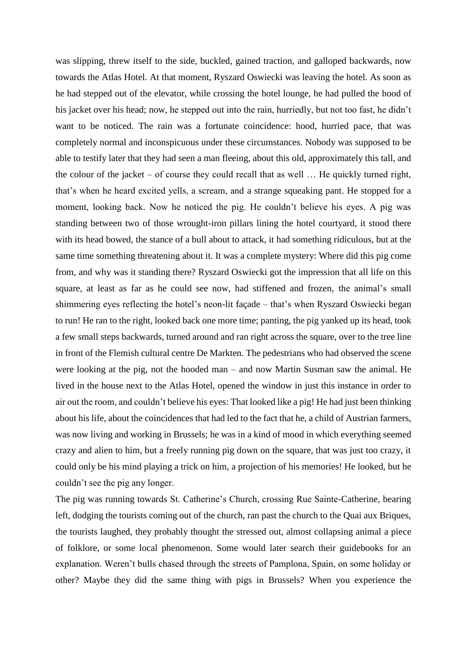was slipping, threw itself to the side, buckled, gained traction, and galloped backwards, now towards the Atlas Hotel. At that moment, Ryszard Oswiecki was leaving the hotel. As soon as he had stepped out of the elevator, while crossing the hotel lounge, he had pulled the hood of his jacket over his head; now, he stepped out into the rain, hurriedly, but not too fast, he didn't want to be noticed. The rain was a fortunate coincidence: hood, hurried pace, that was completely normal and inconspicuous under these circumstances. Nobody was supposed to be able to testify later that they had seen a man fleeing, about this old, approximately this tall, and the colour of the jacket – of course they could recall that as well … He quickly turned right, that's when he heard excited yells, a scream, and a strange squeaking pant. He stopped for a moment, looking back. Now he noticed the pig. He couldn't believe his eyes. A pig was standing between two of those wrought-iron pillars lining the hotel courtyard, it stood there with its head bowed, the stance of a bull about to attack, it had something ridiculous, but at the same time something threatening about it. It was a complete mystery: Where did this pig come from, and why was it standing there? Ryszard Oswiecki got the impression that all life on this square, at least as far as he could see now, had stiffened and frozen, the animal's small shimmering eyes reflecting the hotel's neon-lit façade – that's when Ryszard Oswiecki began to run! He ran to the right, looked back one more time; panting, the pig yanked up its head, took a few small steps backwards, turned around and ran right across the square, over to the tree line in front of the Flemish cultural centre De Markten. The pedestrians who had observed the scene were looking at the pig, not the hooded man – and now Martin Susman saw the animal. He lived in the house next to the Atlas Hotel, opened the window in just this instance in order to air out the room, and couldn't believe his eyes: That looked like a pig! He had just been thinking about his life, about the coincidences that had led to the fact that he, a child of Austrian farmers, was now living and working in Brussels; he was in a kind of mood in which everything seemed crazy and alien to him, but a freely running pig down on the square, that was just too crazy, it could only be his mind playing a trick on him, a projection of his memories! He looked, but he couldn't see the pig any longer.

The pig was running towards St. Catherine's Church, crossing Rue Sainte-Catherine, bearing left, dodging the tourists coming out of the church, ran past the church to the Quai aux Briques, the tourists laughed, they probably thought the stressed out, almost collapsing animal a piece of folklore, or some local phenomenon. Some would later search their guidebooks for an explanation. Weren't bulls chased through the streets of Pamplona, Spain, on some holiday or other? Maybe they did the same thing with pigs in Brussels? When you experience the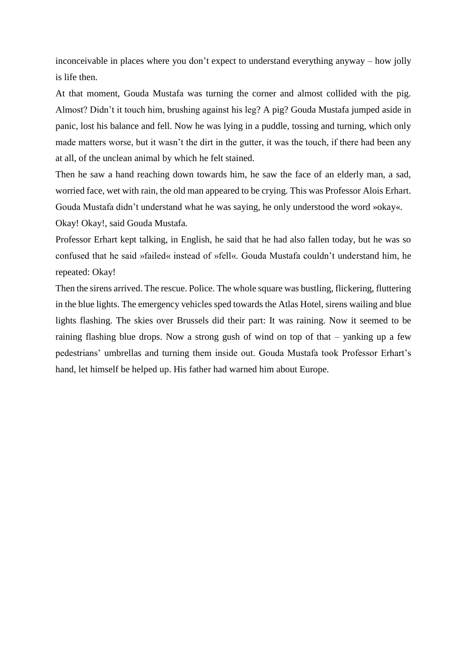inconceivable in places where you don't expect to understand everything anyway – how jolly is life then.

At that moment, Gouda Mustafa was turning the corner and almost collided with the pig. Almost? Didn't it touch him, brushing against his leg? A pig? Gouda Mustafa jumped aside in panic, lost his balance and fell. Now he was lying in a puddle, tossing and turning, which only made matters worse, but it wasn't the dirt in the gutter, it was the touch, if there had been any at all, of the unclean animal by which he felt stained.

Then he saw a hand reaching down towards him, he saw the face of an elderly man, a sad, worried face, wet with rain, the old man appeared to be crying. This was Professor Alois Erhart. Gouda Mustafa didn't understand what he was saying, he only understood the word »okay«. Okay! Okay!, said Gouda Mustafa.

Professor Erhart kept talking, in English, he said that he had also fallen today, but he was so confused that he said »failed« instead of »fell«. Gouda Mustafa couldn't understand him, he repeated: Okay!

Then the sirens arrived. The rescue. Police. The whole square was bustling, flickering, fluttering in the blue lights. The emergency vehicles sped towards the Atlas Hotel, sirens wailing and blue lights flashing. The skies over Brussels did their part: It was raining. Now it seemed to be raining flashing blue drops. Now a strong gush of wind on top of that – yanking up a few pedestrians' umbrellas and turning them inside out. Gouda Mustafa took Professor Erhart's hand, let himself be helped up. His father had warned him about Europe.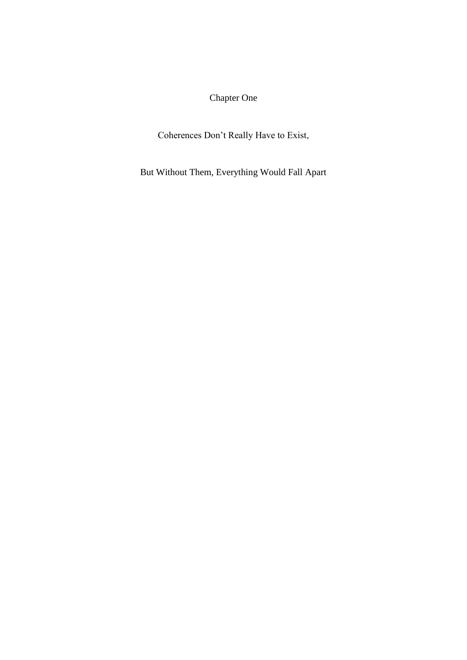## Chapter One

Coherences Don't Really Have to Exist,

But Without Them, Everything Would Fall Apart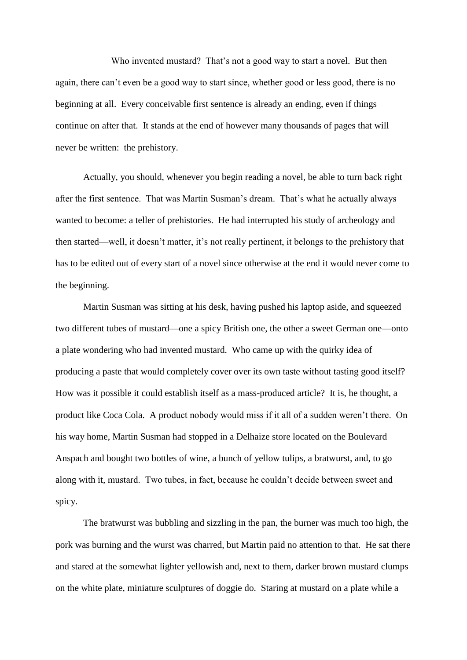Who invented mustard? That's not a good way to start a novel. But then again, there can't even be a good way to start since, whether good or less good, there is no beginning at all. Every conceivable first sentence is already an ending, even if things continue on after that. It stands at the end of however many thousands of pages that will never be written: the prehistory.

Actually, you should, whenever you begin reading a novel, be able to turn back right after the first sentence. That was Martin Susman's dream. That's what he actually always wanted to become: a teller of prehistories. He had interrupted his study of archeology and then started—well, it doesn't matter, it's not really pertinent, it belongs to the prehistory that has to be edited out of every start of a novel since otherwise at the end it would never come to the beginning.

Martin Susman was sitting at his desk, having pushed his laptop aside, and squeezed two different tubes of mustard—one a spicy British one, the other a sweet German one—onto a plate wondering who had invented mustard. Who came up with the quirky idea of producing a paste that would completely cover over its own taste without tasting good itself? How was it possible it could establish itself as a mass-produced article? It is, he thought, a product like Coca Cola. A product nobody would miss if it all of a sudden weren't there. On his way home, Martin Susman had stopped in a Delhaize store located on the Boulevard Anspach and bought two bottles of wine, a bunch of yellow tulips, a bratwurst, and, to go along with it, mustard. Two tubes, in fact, because he couldn't decide between sweet and spicy.

The bratwurst was bubbling and sizzling in the pan, the burner was much too high, the pork was burning and the wurst was charred, but Martin paid no attention to that. He sat there and stared at the somewhat lighter yellowish and, next to them, darker brown mustard clumps on the white plate, miniature sculptures of doggie do. Staring at mustard on a plate while a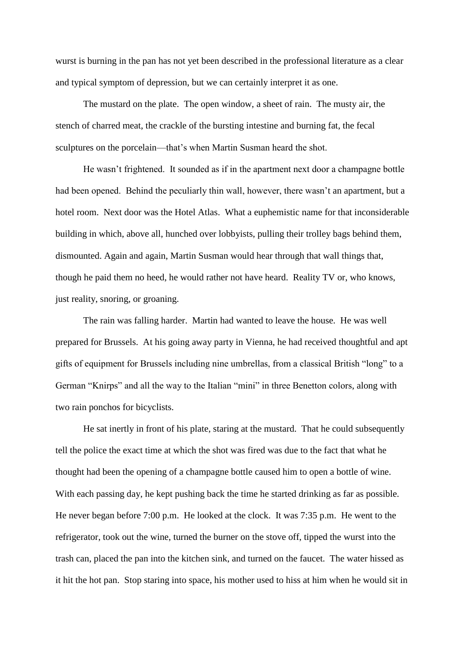wurst is burning in the pan has not yet been described in the professional literature as a clear and typical symptom of depression, but we can certainly interpret it as one.

The mustard on the plate. The open window, a sheet of rain. The musty air, the stench of charred meat, the crackle of the bursting intestine and burning fat, the fecal sculptures on the porcelain—that's when Martin Susman heard the shot.

He wasn't frightened. It sounded as if in the apartment next door a champagne bottle had been opened. Behind the peculiarly thin wall, however, there wasn't an apartment, but a hotel room. Next door was the Hotel Atlas. What a euphemistic name for that inconsiderable building in which, above all, hunched over lobbyists, pulling their trolley bags behind them, dismounted. Again and again, Martin Susman would hear through that wall things that, though he paid them no heed, he would rather not have heard. Reality TV or, who knows, just reality, snoring, or groaning.

The rain was falling harder. Martin had wanted to leave the house. He was well prepared for Brussels. At his going away party in Vienna, he had received thoughtful and apt gifts of equipment for Brussels including nine umbrellas, from a classical British "long" to a German "Knirps" and all the way to the Italian "mini" in three Benetton colors, along with two rain ponchos for bicyclists.

He sat inertly in front of his plate, staring at the mustard. That he could subsequently tell the police the exact time at which the shot was fired was due to the fact that what he thought had been the opening of a champagne bottle caused him to open a bottle of wine. With each passing day, he kept pushing back the time he started drinking as far as possible. He never began before 7:00 p.m. He looked at the clock. It was 7:35 p.m. He went to the refrigerator, took out the wine, turned the burner on the stove off, tipped the wurst into the trash can, placed the pan into the kitchen sink, and turned on the faucet. The water hissed as it hit the hot pan. Stop staring into space, his mother used to hiss at him when he would sit in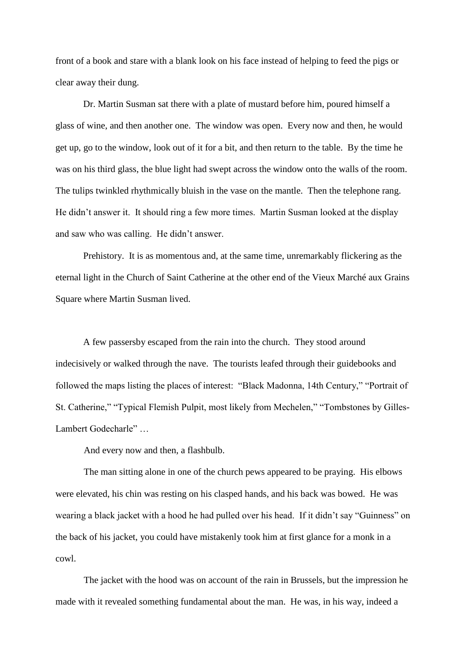front of a book and stare with a blank look on his face instead of helping to feed the pigs or clear away their dung.

Dr. Martin Susman sat there with a plate of mustard before him, poured himself a glass of wine, and then another one. The window was open. Every now and then, he would get up, go to the window, look out of it for a bit, and then return to the table. By the time he was on his third glass, the blue light had swept across the window onto the walls of the room. The tulips twinkled rhythmically bluish in the vase on the mantle. Then the telephone rang. He didn't answer it. It should ring a few more times. Martin Susman looked at the display and saw who was calling. He didn't answer.

Prehistory. It is as momentous and, at the same time, unremarkably flickering as the eternal light in the Church of Saint Catherine at the other end of the Vieux Marché aux Grains Square where Martin Susman lived.

A few passersby escaped from the rain into the church. They stood around indecisively or walked through the nave. The tourists leafed through their guidebooks and followed the maps listing the places of interest: "Black Madonna, 14th Century," "Portrait of St. Catherine," "Typical Flemish Pulpit, most likely from Mechelen," "Tombstones by Gilles-Lambert Godecharle" …

And every now and then, a flashbulb.

The man sitting alone in one of the church pews appeared to be praying. His elbows were elevated, his chin was resting on his clasped hands, and his back was bowed. He was wearing a black jacket with a hood he had pulled over his head. If it didn't say "Guinness" on the back of his jacket, you could have mistakenly took him at first glance for a monk in a cowl.

The jacket with the hood was on account of the rain in Brussels, but the impression he made with it revealed something fundamental about the man. He was, in his way, indeed a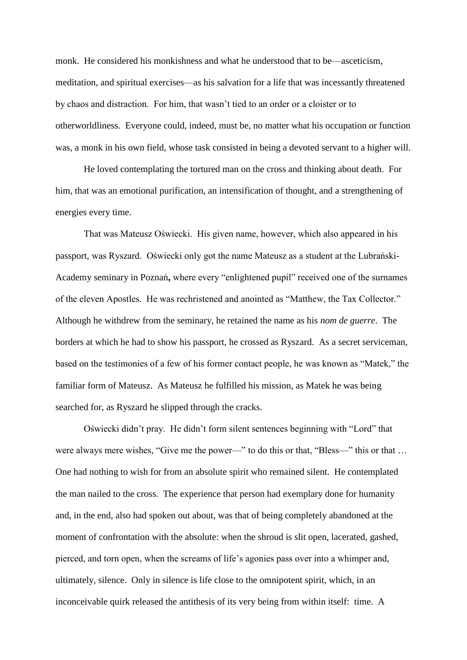monk. He considered his monkishness and what he understood that to be—asceticism, meditation, and spiritual exercises—as his salvation for a life that was incessantly threatened by chaos and distraction. For him, that wasn't tied to an order or a cloister or to otherworldliness. Everyone could, indeed, must be, no matter what his occupation or function was, a monk in his own field, whose task consisted in being a devoted servant to a higher will.

He loved contemplating the tortured man on the cross and thinking about death. For him, that was an emotional purification, an intensification of thought, and a strengthening of energies every time.

That was Mateusz Oświecki. His given name, however, which also appeared in his passport, was Ryszard. Oświecki only got the name Mateusz as a student at the Lubrański-Academy seminary in Poznań**,** where every "enlightened pupil" received one of the surnames of the eleven Apostles. He was rechristened and anointed as "Matthew, the Tax Collector." Although he withdrew from the seminary, he retained the name as his *nom de guerre*. The borders at which he had to show his passport, he crossed as Ryszard. As a secret serviceman, based on the testimonies of a few of his former contact people, he was known as "Matek," the familiar form of Mateusz. As Mateusz he fulfilled his mission, as Matek he was being searched for, as Ryszard he slipped through the cracks.

Oświecki didn't pray. He didn't form silent sentences beginning with "Lord" that were always mere wishes, "Give me the power—" to do this or that, "Bless—" this or that … One had nothing to wish for from an absolute spirit who remained silent. He contemplated the man nailed to the cross. The experience that person had exemplary done for humanity and, in the end, also had spoken out about, was that of being completely abandoned at the moment of confrontation with the absolute: when the shroud is slit open, lacerated, gashed, pierced, and torn open, when the screams of life's agonies pass over into a whimper and, ultimately, silence. Only in silence is life close to the omnipotent spirit, which, in an inconceivable quirk released the antithesis of its very being from within itself: time. A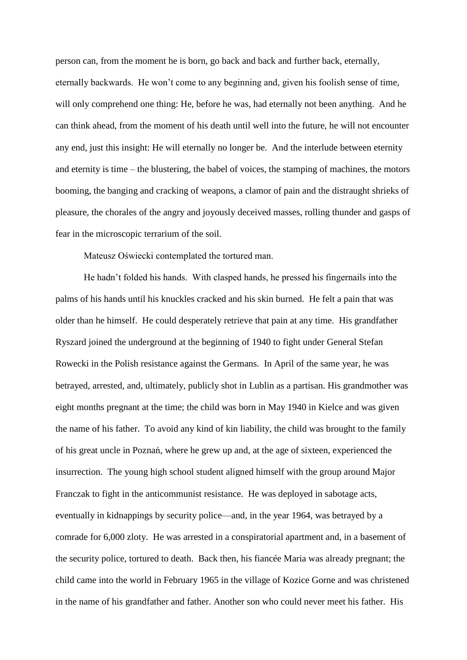person can, from the moment he is born, go back and back and further back, eternally, eternally backwards. He won't come to any beginning and, given his foolish sense of time, will only comprehend one thing: He, before he was, had eternally not been anything. And he can think ahead, from the moment of his death until well into the future, he will not encounter any end, just this insight: He will eternally no longer be. And the interlude between eternity and eternity is time – the blustering, the babel of voices, the stamping of machines, the motors booming, the banging and cracking of weapons, a clamor of pain and the distraught shrieks of pleasure, the chorales of the angry and joyously deceived masses, rolling thunder and gasps of fear in the microscopic terrarium of the soil.

Mateusz Oświecki contemplated the tortured man.

He hadn't folded his hands. With clasped hands, he pressed his fingernails into the palms of his hands until his knuckles cracked and his skin burned. He felt a pain that was older than he himself. He could desperately retrieve that pain at any time. His grandfather Ryszard joined the underground at the beginning of 1940 to fight under General Stefan Rowecki in the Polish resistance against the Germans. In April of the same year, he was betrayed, arrested, and, ultimately, publicly shot in Lublin as a partisan. His grandmother was eight months pregnant at the time; the child was born in May 1940 in Kielce and was given the name of his father. To avoid any kind of kin liability, the child was brought to the family of his great uncle in Poznań, where he grew up and, at the age of sixteen, experienced the insurrection. The young high school student aligned himself with the group around Major Franczak to fight in the anticommunist resistance. He was deployed in sabotage acts, eventually in kidnappings by security police—and, in the year 1964, was betrayed by a comrade for 6,000 zloty. He was arrested in a conspiratorial apartment and, in a basement of the security police, tortured to death. Back then, his fiancée Maria was already pregnant; the child came into the world in February 1965 in the village of Kozice Gorne and was christened in the name of his grandfather and father. Another son who could never meet his father. His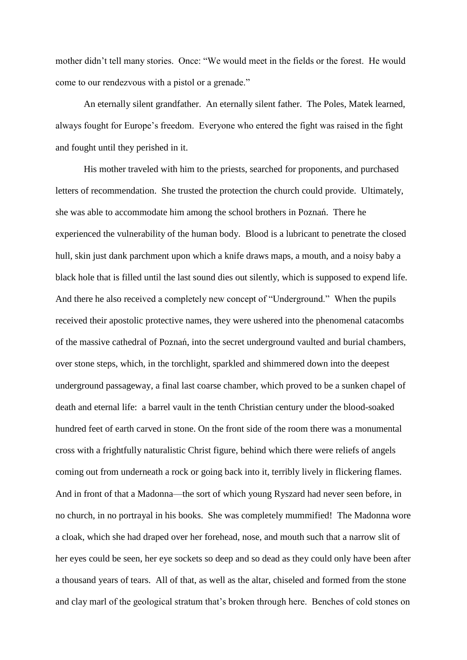mother didn't tell many stories. Once: "We would meet in the fields or the forest. He would come to our rendezvous with a pistol or a grenade."

An eternally silent grandfather. An eternally silent father. The Poles, Matek learned, always fought for Europe's freedom. Everyone who entered the fight was raised in the fight and fought until they perished in it.

His mother traveled with him to the priests, searched for proponents, and purchased letters of recommendation. She trusted the protection the church could provide. Ultimately, she was able to accommodate him among the school brothers in Poznań. There he experienced the vulnerability of the human body. Blood is a lubricant to penetrate the closed hull, skin just dank parchment upon which a knife draws maps, a mouth, and a noisy baby a black hole that is filled until the last sound dies out silently, which is supposed to expend life. And there he also received a completely new concept of "Underground." When the pupils received their apostolic protective names, they were ushered into the phenomenal catacombs of the massive cathedral of Poznań, into the secret underground vaulted and burial chambers, over stone steps, which, in the torchlight, sparkled and shimmered down into the deepest underground passageway, a final last coarse chamber, which proved to be a sunken chapel of death and eternal life: a barrel vault in the tenth Christian century under the blood-soaked hundred feet of earth carved in stone. On the front side of the room there was a monumental cross with a frightfully naturalistic Christ figure, behind which there were reliefs of angels coming out from underneath a rock or going back into it, terribly lively in flickering flames. And in front of that a Madonna—the sort of which young Ryszard had never seen before, in no church, in no portrayal in his books. She was completely mummified! The Madonna wore a cloak, which she had draped over her forehead, nose, and mouth such that a narrow slit of her eyes could be seen, her eye sockets so deep and so dead as they could only have been after a thousand years of tears. All of that, as well as the altar, chiseled and formed from the stone and clay marl of the geological stratum that's broken through here. Benches of cold stones on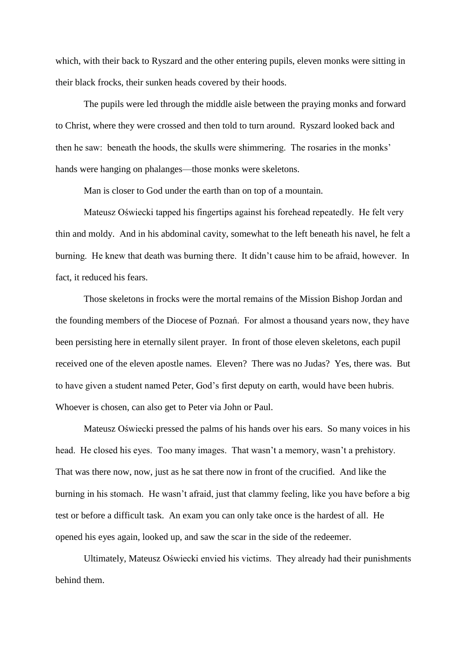which, with their back to Ryszard and the other entering pupils, eleven monks were sitting in their black frocks, their sunken heads covered by their hoods.

The pupils were led through the middle aisle between the praying monks and forward to Christ, where they were crossed and then told to turn around. Ryszard looked back and then he saw: beneath the hoods, the skulls were shimmering. The rosaries in the monks' hands were hanging on phalanges—those monks were skeletons.

Man is closer to God under the earth than on top of a mountain.

Mateusz Oświecki tapped his fingertips against his forehead repeatedly. He felt very thin and moldy. And in his abdominal cavity, somewhat to the left beneath his navel, he felt a burning. He knew that death was burning there. It didn't cause him to be afraid, however. In fact, it reduced his fears.

Those skeletons in frocks were the mortal remains of the Mission Bishop Jordan and the founding members of the Diocese of Poznań. For almost a thousand years now, they have been persisting here in eternally silent prayer. In front of those eleven skeletons, each pupil received one of the eleven apostle names. Eleven? There was no Judas? Yes, there was. But to have given a student named Peter, God's first deputy on earth, would have been hubris. Whoever is chosen, can also get to Peter via John or Paul.

Mateusz Oświecki pressed the palms of his hands over his ears. So many voices in his head. He closed his eyes. Too many images. That wasn't a memory, wasn't a prehistory. That was there now, now, just as he sat there now in front of the crucified. And like the burning in his stomach. He wasn't afraid, just that clammy feeling, like you have before a big test or before a difficult task. An exam you can only take once is the hardest of all. He opened his eyes again, looked up, and saw the scar in the side of the redeemer.

Ultimately, Mateusz Oświecki envied his victims. They already had their punishments behind them.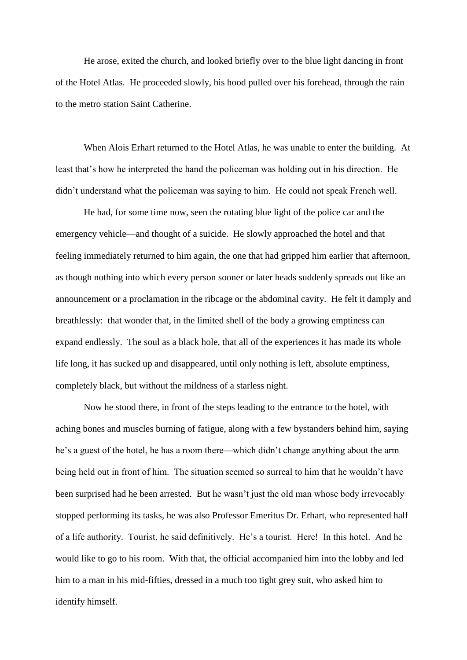He arose, exited the church, and looked briefly over to the blue light dancing in front of the Hotel Atlas. He proceeded slowly, his hood pulled over his forehead, through the rain to the metro station Saint Catherine.

When Alois Erhart returned to the Hotel Atlas, he was unable to enter the building. At least that's how he interpreted the hand the policeman was holding out in his direction. He didn't understand what the policeman was saying to him. He could not speak French well.

He had, for some time now, seen the rotating blue light of the police car and the emergency vehicle—and thought of a suicide. He slowly approached the hotel and that feeling immediately returned to him again, the one that had gripped him earlier that afternoon, as though nothing into which every person sooner or later heads suddenly spreads out like an announcement or a proclamation in the ribcage or the abdominal cavity. He felt it damply and breathlessly: that wonder that, in the limited shell of the body a growing emptiness can expand endlessly. The soul as a black hole, that all of the experiences it has made its whole life long, it has sucked up and disappeared, until only nothing is left, absolute emptiness, completely black, but without the mildness of a starless night.

Now he stood there, in front of the steps leading to the entrance to the hotel, with aching bones and muscles burning of fatigue, along with a few bystanders behind him, saying he's a guest of the hotel, he has a room there—which didn't change anything about the arm being held out in front of him. The situation seemed so surreal to him that he wouldn't have been surprised had he been arrested. But he wasn't just the old man whose body irrevocably stopped performing its tasks, he was also Professor Emeritus Dr. Erhart, who represented half of a life authority. Tourist, he said definitively. He's a tourist. Here! In this hotel. And he would like to go to his room. With that, the official accompanied him into the lobby and led him to a man in his mid-fifties, dressed in a much too tight grey suit, who asked him to identify himself.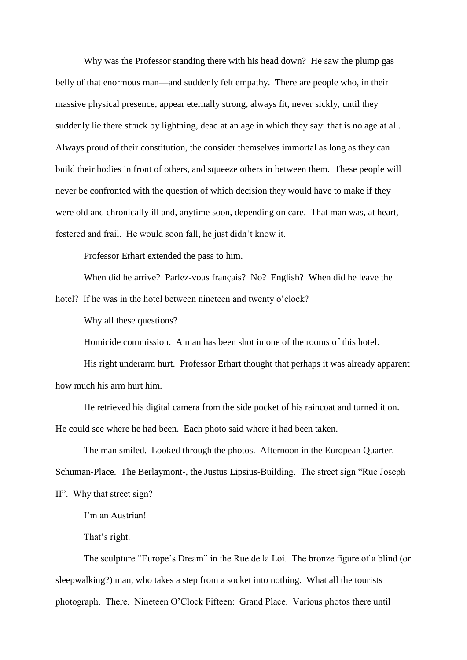Why was the Professor standing there with his head down? He saw the plump gas belly of that enormous man—and suddenly felt empathy. There are people who, in their massive physical presence, appear eternally strong, always fit, never sickly, until they suddenly lie there struck by lightning, dead at an age in which they say: that is no age at all. Always proud of their constitution, the consider themselves immortal as long as they can build their bodies in front of others, and squeeze others in between them. These people will never be confronted with the question of which decision they would have to make if they were old and chronically ill and, anytime soon, depending on care. That man was, at heart, festered and frail. He would soon fall, he just didn't know it.

Professor Erhart extended the pass to him.

When did he arrive? Parlez-vous français? No? English? When did he leave the

hotel? If he was in the hotel between nineteen and twenty o'clock?

Why all these questions?

Homicide commission. A man has been shot in one of the rooms of this hotel.

His right underarm hurt. Professor Erhart thought that perhaps it was already apparent how much his arm hurt him.

He retrieved his digital camera from the side pocket of his raincoat and turned it on. He could see where he had been. Each photo said where it had been taken.

The man smiled. Looked through the photos. Afternoon in the European Quarter. Schuman-Place. The Berlaymont-, the Justus Lipsius-Building. The street sign "Rue Joseph II". Why that street sign?

I'm an Austrian!

That's right.

The sculpture "Europe's Dream" in the Rue de la Loi. The bronze figure of a blind (or sleepwalking?) man, who takes a step from a socket into nothing. What all the tourists photograph. There. Nineteen O'Clock Fifteen: Grand Place. Various photos there until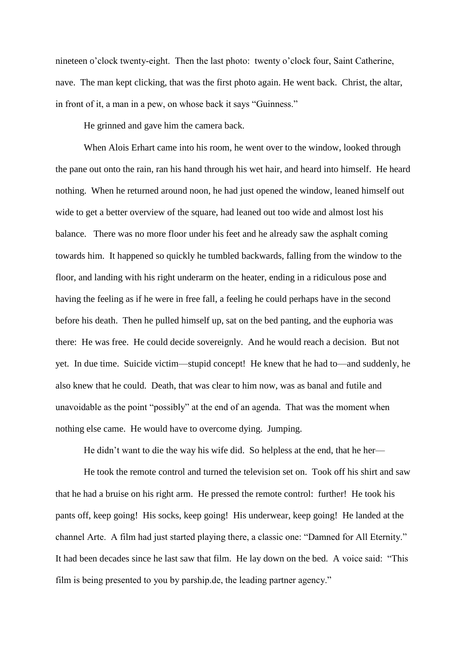nineteen o'clock twenty-eight. Then the last photo: twenty o'clock four, Saint Catherine, nave. The man kept clicking, that was the first photo again. He went back. Christ, the altar, in front of it, a man in a pew, on whose back it says "Guinness."

He grinned and gave him the camera back.

When Alois Erhart came into his room, he went over to the window, looked through the pane out onto the rain, ran his hand through his wet hair, and heard into himself. He heard nothing. When he returned around noon, he had just opened the window, leaned himself out wide to get a better overview of the square, had leaned out too wide and almost lost his balance. There was no more floor under his feet and he already saw the asphalt coming towards him. It happened so quickly he tumbled backwards, falling from the window to the floor, and landing with his right underarm on the heater, ending in a ridiculous pose and having the feeling as if he were in free fall, a feeling he could perhaps have in the second before his death. Then he pulled himself up, sat on the bed panting, and the euphoria was there: He was free. He could decide sovereignly. And he would reach a decision. But not yet. In due time. Suicide victim—stupid concept! He knew that he had to—and suddenly, he also knew that he could. Death, that was clear to him now, was as banal and futile and unavoidable as the point "possibly" at the end of an agenda. That was the moment when nothing else came. He would have to overcome dying. Jumping.

He didn't want to die the way his wife did. So helpless at the end, that he her—

He took the remote control and turned the television set on. Took off his shirt and saw that he had a bruise on his right arm. He pressed the remote control: further! He took his pants off, keep going! His socks, keep going! His underwear, keep going! He landed at the channel Arte. A film had just started playing there, a classic one: "Damned for All Eternity." It had been decades since he last saw that film. He lay down on the bed. A voice said: "This film is being presented to you by parship.de, the leading partner agency."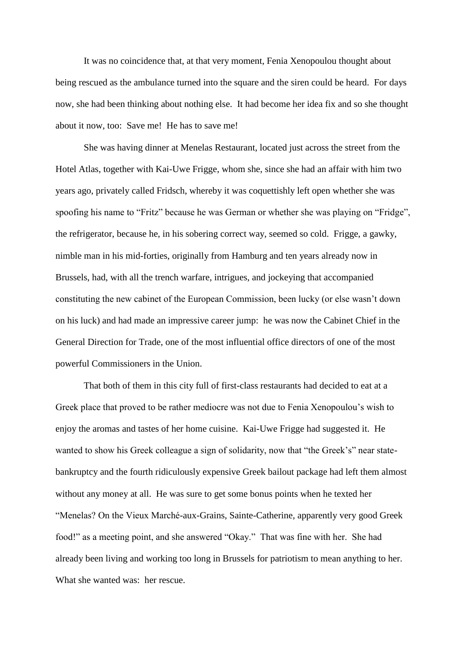It was no coincidence that, at that very moment, Fenia Xenopoulou thought about being rescued as the ambulance turned into the square and the siren could be heard. For days now, she had been thinking about nothing else. It had become her idea fix and so she thought about it now, too: Save me! He has to save me!

She was having dinner at Menelas Restaurant, located just across the street from the Hotel Atlas, together with Kai-Uwe Frigge, whom she, since she had an affair with him two years ago, privately called Fridsch, whereby it was coquettishly left open whether she was spoofing his name to "Fritz" because he was German or whether she was playing on "Fridge", the refrigerator, because he, in his sobering correct way, seemed so cold. Frigge, a gawky, nimble man in his mid-forties, originally from Hamburg and ten years already now in Brussels, had, with all the trench warfare, intrigues, and jockeying that accompanied constituting the new cabinet of the European Commission, been lucky (or else wasn't down on his luck) and had made an impressive career jump: he was now the Cabinet Chief in the General Direction for Trade, one of the most influential office directors of one of the most powerful Commissioners in the Union.

That both of them in this city full of first-class restaurants had decided to eat at a Greek place that proved to be rather mediocre was not due to Fenia Xenopoulou's wish to enjoy the aromas and tastes of her home cuisine. Kai-Uwe Frigge had suggested it. He wanted to show his Greek colleague a sign of solidarity, now that "the Greek's" near statebankruptcy and the fourth ridiculously expensive Greek bailout package had left them almost without any money at all. He was sure to get some bonus points when he texted her "Menelas? On the Vieux Marché-aux-Grains, Sainte-Catherine, apparently very good Greek food!" as a meeting point, and she answered "Okay." That was fine with her. She had already been living and working too long in Brussels for patriotism to mean anything to her. What she wanted was: her rescue.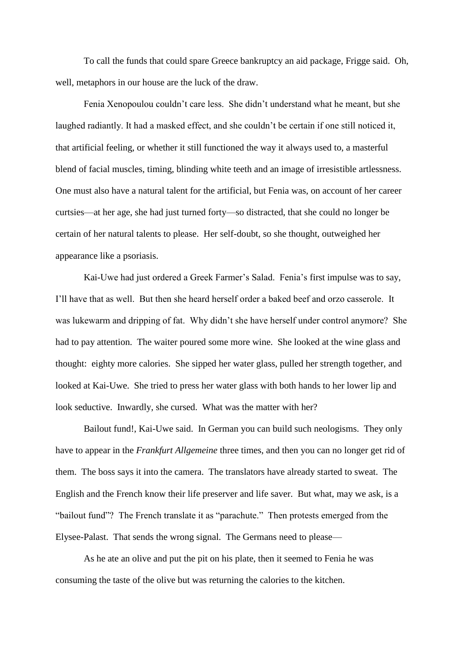To call the funds that could spare Greece bankruptcy an aid package, Frigge said. Oh, well, metaphors in our house are the luck of the draw.

Fenia Xenopoulou couldn't care less. She didn't understand what he meant, but she laughed radiantly. It had a masked effect, and she couldn't be certain if one still noticed it, that artificial feeling, or whether it still functioned the way it always used to, a masterful blend of facial muscles, timing, blinding white teeth and an image of irresistible artlessness. One must also have a natural talent for the artificial, but Fenia was, on account of her career curtsies—at her age, she had just turned forty—so distracted, that she could no longer be certain of her natural talents to please. Her self-doubt, so she thought, outweighed her appearance like a psoriasis.

Kai-Uwe had just ordered a Greek Farmer's Salad. Fenia's first impulse was to say, I'll have that as well. But then she heard herself order a baked beef and orzo casserole. It was lukewarm and dripping of fat. Why didn't she have herself under control anymore? She had to pay attention. The waiter poured some more wine. She looked at the wine glass and thought: eighty more calories. She sipped her water glass, pulled her strength together, and looked at Kai-Uwe. She tried to press her water glass with both hands to her lower lip and look seductive. Inwardly, she cursed. What was the matter with her?

Bailout fund!, Kai-Uwe said. In German you can build such neologisms. They only have to appear in the *Frankfurt Allgemeine* three times, and then you can no longer get rid of them. The boss says it into the camera. The translators have already started to sweat. The English and the French know their life preserver and life saver. But what, may we ask, is a "bailout fund"? The French translate it as "parachute." Then protests emerged from the Elysee-Palast. That sends the wrong signal. The Germans need to please—

As he ate an olive and put the pit on his plate, then it seemed to Fenia he was consuming the taste of the olive but was returning the calories to the kitchen.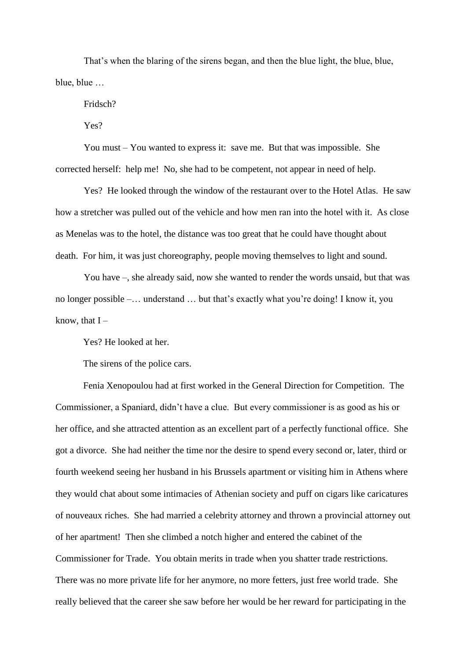That's when the blaring of the sirens began, and then the blue light, the blue, blue, blue, blue …

Fridsch?

Yes?

You must – You wanted to express it: save me. But that was impossible. She corrected herself: help me! No, she had to be competent, not appear in need of help.

Yes? He looked through the window of the restaurant over to the Hotel Atlas. He saw how a stretcher was pulled out of the vehicle and how men ran into the hotel with it. As close as Menelas was to the hotel, the distance was too great that he could have thought about death. For him, it was just choreography, people moving themselves to light and sound.

You have –, she already said, now she wanted to render the words unsaid, but that was no longer possible –… understand … but that's exactly what you're doing! I know it, you know, that  $I -$ 

Yes? He looked at her.

The sirens of the police cars.

Fenia Xenopoulou had at first worked in the General Direction for Competition. The Commissioner, a Spaniard, didn't have a clue. But every commissioner is as good as his or her office, and she attracted attention as an excellent part of a perfectly functional office. She got a divorce. She had neither the time nor the desire to spend every second or, later, third or fourth weekend seeing her husband in his Brussels apartment or visiting him in Athens where they would chat about some intimacies of Athenian society and puff on cigars like caricatures of nouveaux riches. She had married a celebrity attorney and thrown a provincial attorney out of her apartment! Then she climbed a notch higher and entered the cabinet of the Commissioner for Trade. You obtain merits in trade when you shatter trade restrictions. There was no more private life for her anymore, no more fetters, just free world trade. She really believed that the career she saw before her would be her reward for participating in the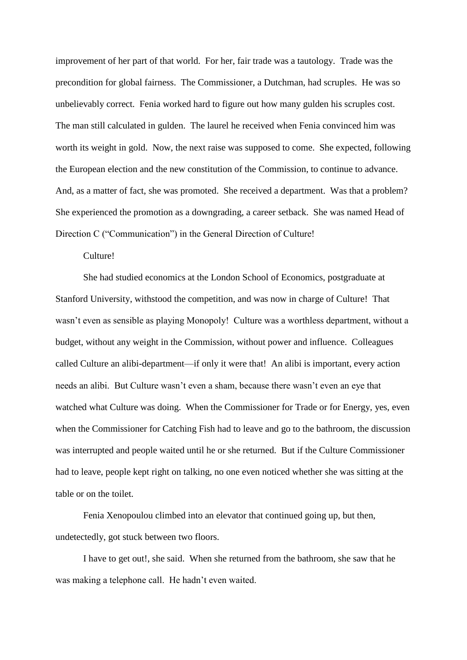improvement of her part of that world. For her, fair trade was a tautology. Trade was the precondition for global fairness. The Commissioner, a Dutchman, had scruples. He was so unbelievably correct. Fenia worked hard to figure out how many gulden his scruples cost. The man still calculated in gulden. The laurel he received when Fenia convinced him was worth its weight in gold. Now, the next raise was supposed to come. She expected, following the European election and the new constitution of the Commission, to continue to advance. And, as a matter of fact, she was promoted. She received a department. Was that a problem? She experienced the promotion as a downgrading, a career setback. She was named Head of Direction C ("Communication") in the General Direction of Culture!

## Culture!

She had studied economics at the London School of Economics, postgraduate at Stanford University, withstood the competition, and was now in charge of Culture! That wasn't even as sensible as playing Monopoly! Culture was a worthless department, without a budget, without any weight in the Commission, without power and influence. Colleagues called Culture an alibi-department—if only it were that! An alibi is important, every action needs an alibi. But Culture wasn't even a sham, because there wasn't even an eye that watched what Culture was doing. When the Commissioner for Trade or for Energy, yes, even when the Commissioner for Catching Fish had to leave and go to the bathroom, the discussion was interrupted and people waited until he or she returned. But if the Culture Commissioner had to leave, people kept right on talking, no one even noticed whether she was sitting at the table or on the toilet.

Fenia Xenopoulou climbed into an elevator that continued going up, but then, undetectedly, got stuck between two floors.

I have to get out!, she said. When she returned from the bathroom, she saw that he was making a telephone call. He hadn't even waited.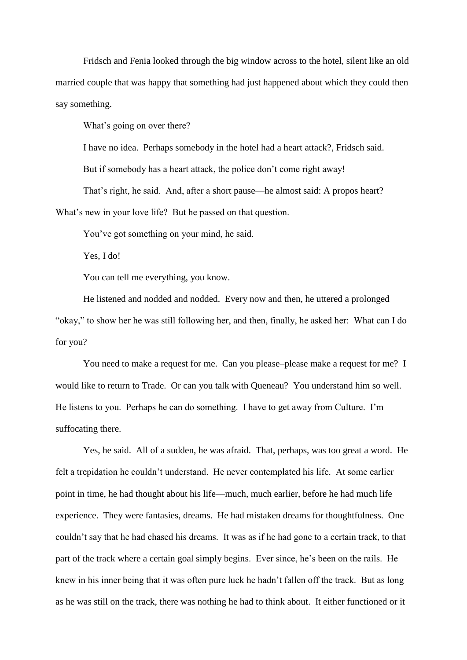Fridsch and Fenia looked through the big window across to the hotel, silent like an old married couple that was happy that something had just happened about which they could then say something.

What's going on over there?

I have no idea. Perhaps somebody in the hotel had a heart attack?, Fridsch said.

But if somebody has a heart attack, the police don't come right away!

That's right, he said. And, after a short pause—he almost said: A propos heart?

What's new in your love life? But he passed on that question.

You've got something on your mind, he said.

Yes, I do!

You can tell me everything, you know.

He listened and nodded and nodded. Every now and then, he uttered a prolonged "okay," to show her he was still following her, and then, finally, he asked her: What can I do for you?

You need to make a request for me. Can you please–please make a request for me? I would like to return to Trade. Or can you talk with Queneau? You understand him so well. He listens to you. Perhaps he can do something. I have to get away from Culture. I'm suffocating there.

Yes, he said. All of a sudden, he was afraid. That, perhaps, was too great a word. He felt a trepidation he couldn't understand. He never contemplated his life. At some earlier point in time, he had thought about his life—much, much earlier, before he had much life experience. They were fantasies, dreams. He had mistaken dreams for thoughtfulness. One couldn't say that he had chased his dreams. It was as if he had gone to a certain track, to that part of the track where a certain goal simply begins. Ever since, he's been on the rails. He knew in his inner being that it was often pure luck he hadn't fallen off the track. But as long as he was still on the track, there was nothing he had to think about. It either functioned or it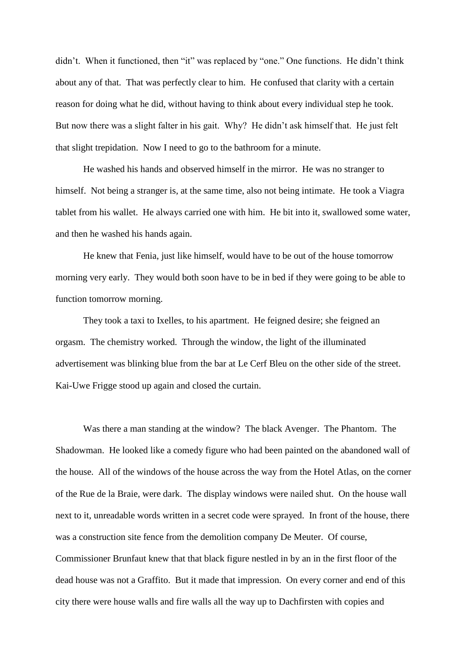didn't. When it functioned, then "it" was replaced by "one." One functions. He didn't think about any of that. That was perfectly clear to him. He confused that clarity with a certain reason for doing what he did, without having to think about every individual step he took. But now there was a slight falter in his gait. Why? He didn't ask himself that. He just felt that slight trepidation. Now I need to go to the bathroom for a minute.

He washed his hands and observed himself in the mirror. He was no stranger to himself. Not being a stranger is, at the same time, also not being intimate. He took a Viagra tablet from his wallet. He always carried one with him. He bit into it, swallowed some water, and then he washed his hands again.

He knew that Fenia, just like himself, would have to be out of the house tomorrow morning very early. They would both soon have to be in bed if they were going to be able to function tomorrow morning.

They took a taxi to Ixelles, to his apartment. He feigned desire; she feigned an orgasm. The chemistry worked. Through the window, the light of the illuminated advertisement was blinking blue from the bar at Le Cerf Bleu on the other side of the street. Kai-Uwe Frigge stood up again and closed the curtain.

Was there a man standing at the window? The black Avenger. The Phantom. The Shadowman. He looked like a comedy figure who had been painted on the abandoned wall of the house. All of the windows of the house across the way from the Hotel Atlas, on the corner of the Rue de la Braie, were dark. The display windows were nailed shut. On the house wall next to it, unreadable words written in a secret code were sprayed. In front of the house, there was a construction site fence from the demolition company De Meuter. Of course, Commissioner Brunfaut knew that that black figure nestled in by an in the first floor of the dead house was not a Graffito. But it made that impression. On every corner and end of this city there were house walls and fire walls all the way up to Dachfirsten with copies and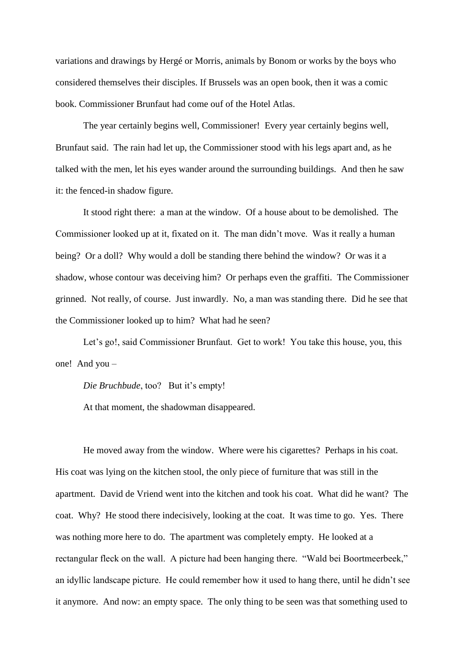variations and drawings by Hergé or Morris, animals by Bonom or works by the boys who considered themselves their disciples. If Brussels was an open book, then it was a comic book. Commissioner Brunfaut had come ouf of the Hotel Atlas.

The year certainly begins well, Commissioner! Every year certainly begins well, Brunfaut said. The rain had let up, the Commissioner stood with his legs apart and, as he talked with the men, let his eyes wander around the surrounding buildings. And then he saw it: the fenced-in shadow figure.

It stood right there: a man at the window. Of a house about to be demolished. The Commissioner looked up at it, fixated on it. The man didn't move. Was it really a human being? Or a doll? Why would a doll be standing there behind the window? Or was it a shadow, whose contour was deceiving him? Or perhaps even the graffiti. The Commissioner grinned. Not really, of course. Just inwardly. No, a man was standing there. Did he see that the Commissioner looked up to him? What had he seen?

Let's go!, said Commissioner Brunfaut. Get to work! You take this house, you, this one! And you –

*Die Bruchbude*, too? But it's empty!

At that moment, the shadowman disappeared.

He moved away from the window. Where were his cigarettes? Perhaps in his coat. His coat was lying on the kitchen stool, the only piece of furniture that was still in the apartment. David de Vriend went into the kitchen and took his coat. What did he want? The coat. Why? He stood there indecisively, looking at the coat. It was time to go. Yes. There was nothing more here to do. The apartment was completely empty. He looked at a rectangular fleck on the wall. A picture had been hanging there. "Wald bei Boortmeerbeek," an idyllic landscape picture. He could remember how it used to hang there, until he didn't see it anymore. And now: an empty space. The only thing to be seen was that something used to